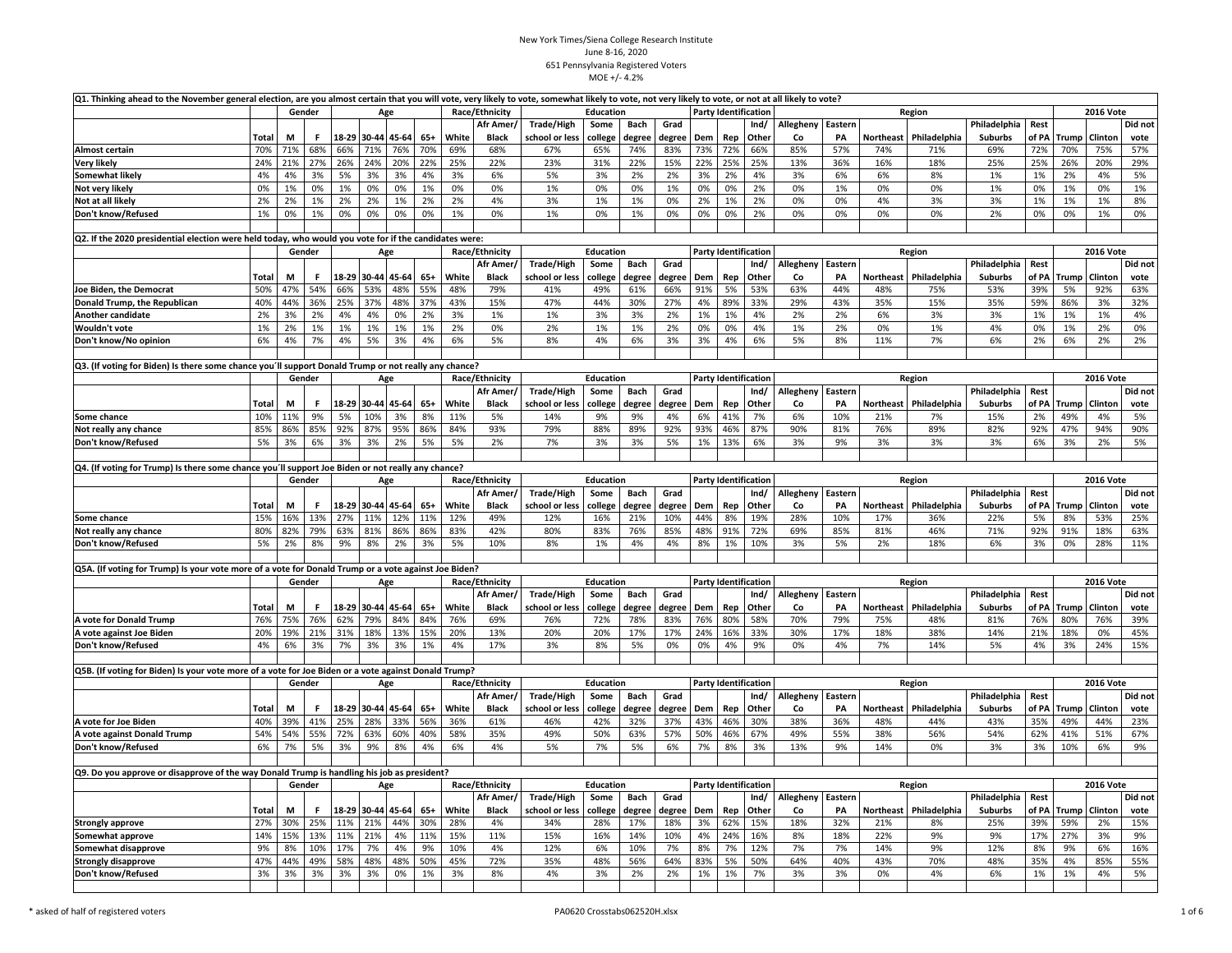|                                                                                                       |              | Q1. Thinking ahead to the November general election, are you almost certain that you will vote, very likely to vote, somewhat likely to vote, not very likely to vote, or not at all likely to vote?<br>Gender<br>Race/Ethnicity<br><b>Education</b><br>Age |        |     |                   |       |       |       |                |                                           |                  |             |        |     |                             |                             |           |                  |                  |              |                |       |              |                  |         |
|-------------------------------------------------------------------------------------------------------|--------------|-------------------------------------------------------------------------------------------------------------------------------------------------------------------------------------------------------------------------------------------------------------|--------|-----|-------------------|-------|-------|-------|----------------|-------------------------------------------|------------------|-------------|--------|-----|-----------------------------|-----------------------------|-----------|------------------|------------------|--------------|----------------|-------|--------------|------------------|---------|
|                                                                                                       |              |                                                                                                                                                                                                                                                             |        |     |                   |       |       |       |                |                                           |                  |             |        |     | <b>Party Identification</b> |                             |           | <b>2016 Vote</b> |                  |              |                |       |              |                  |         |
|                                                                                                       |              |                                                                                                                                                                                                                                                             |        |     |                   |       |       |       | Afr Amer,      | Trade/High                                | Some             | Bach        | Grad   |     |                             | Ind/                        | Allegheny | Eastern          |                  |              | Philadelphia   | Rest  |              |                  | Did not |
|                                                                                                       | Total        | М                                                                                                                                                                                                                                                           | F.     |     | 18-29 30-44       | 45-64 | $65+$ | White | <b>Black</b>   | school or less                            | college          | degree      | degree | Dem | Rep                         | Other                       | Co        | PA               | Northeast        | Philadelphia | Suburbs        | of PA | Trump        | Clinton          | vote    |
| <b>Almost certain</b>                                                                                 | 70%          | 71%                                                                                                                                                                                                                                                         | 68%    | 66% | 71%               | 76%   | 70%   | 69%   | 68%            | 67%                                       | 65%              | 74%         | 83%    | 73% | 72%                         | 66%                         | 85%       | 57%              | 74%              | 71%          | 69%            | 72%   | 70%          | 75%              | 57%     |
| <b>Very likely</b>                                                                                    | 24%          | 21%                                                                                                                                                                                                                                                         | 27%    | 26% | 24%               | 20%   | 22%   | 25%   | 22%            | 23%                                       | 31%              | 22%         | 15%    | 22% | 25%                         | 25%                         | 13%       | 36%              | 16%              | 18%          | 25%            | 25%   | 26%          | 20%              | 29%     |
| Somewhat likely                                                                                       | 4%           | 4%                                                                                                                                                                                                                                                          | 3%     | 5%  | 3%                | 3%    | 4%    | 3%    | 6%             | 5%                                        | 3%               | 2%          | 2%     | 3%  | 2%                          | 4%                          | 3%        | 6%               | 6%               | 8%           | 1%             | 1%    | 2%           | 4%               | 5%      |
| Not very likely                                                                                       | 0%           | 1%                                                                                                                                                                                                                                                          | 0%     | 1%  | 0%                | 0%    | 1%    | 0%    | 0%             | 1%                                        | 0%               | 0%          | 1%     | 0%  | 0%                          | 2%                          | 0%        | 1%               | 0%               | 0%           | 1%             | 0%    | 1%           | 0%               | 1%      |
| Not at all likely                                                                                     | 2%           | 2%                                                                                                                                                                                                                                                          | 1%     | 2%  | 2%                | 1%    | 2%    | 2%    | 4%             | 3%                                        | 1%               | 1%          | 0%     | 2%  | 1%                          | 2%                          | 0%        | 0%               | 4%               | 3%           | 3%             | 1%    | 1%           | 1%               | 8%      |
| Don't know/Refused                                                                                    | 1%           | 0%                                                                                                                                                                                                                                                          | 1%     | 0%  | 0%                | 0%    | 0%    | 1%    | 0%             | 1%                                        | 0%               | 1%          | 0%     | 0%  | 0%                          | 2%                          | 0%        | 0%               | 0%               | 0%           | 2%             | 0%    | $0\%$        | 1%               | 0%      |
|                                                                                                       |              |                                                                                                                                                                                                                                                             |        |     |                   |       |       |       |                |                                           |                  |             |        |     |                             |                             |           |                  |                  |              |                |       |              |                  |         |
| Q2. If the 2020 presidential election were held today, who would you vote for if the candidates were: |              |                                                                                                                                                                                                                                                             |        |     |                   |       |       |       |                |                                           |                  |             |        |     |                             |                             |           |                  |                  |              |                |       |              |                  |         |
|                                                                                                       |              |                                                                                                                                                                                                                                                             | Gender |     |                   | Age   |       |       | Race/Ethnicity |                                           | <b>Education</b> |             |        |     |                             | <b>Party Identification</b> |           |                  |                  | Region       |                |       |              | <b>2016 Vote</b> |         |
|                                                                                                       |              |                                                                                                                                                                                                                                                             |        |     |                   |       |       |       | Afr Amer,      | Trade/High                                | Some             | Bach        | Grad   |     |                             | Ind/                        | Allegheny | Eastern          |                  |              | Philadelphia   | Rest  |              |                  | Did not |
|                                                                                                       | Total        | M                                                                                                                                                                                                                                                           | F.     |     | 18-29 30-44 45-64 |       | $65+$ | White | <b>Black</b>   | school or less                            | college          | degree      | degree | Dem | Rep                         | Other                       | Co        | PA               | Northeast        | Philadelphia | Suburbs        | of PA | Trump        | Clinton          | vote    |
| Joe Biden, the Democrat                                                                               | 50%          | 47%                                                                                                                                                                                                                                                         | 54%    | 66% | 53%               | 48%   | 55%   | 48%   | 79%            | 41%                                       | 49%              | 61%         | 66%    | 91% | 5%                          | 53%                         | 63%       | 44%              | 48%              | 75%          | 53%            | 39%   | 5%           | 92%              | 63%     |
| Donald Trump, the Republican                                                                          | 40%          | 44%                                                                                                                                                                                                                                                         | 36%    | 25% | 37%               | 48%   | 37%   | 43%   | 15%            | 47%                                       | 44%              | 30%         | 27%    | 4%  | 89%                         | 33%                         | 29%       | 43%              | 35%              | 15%          | 35%            | 59%   | 86%          | 3%               | 32%     |
| Another candidate                                                                                     | 2%           | 3%                                                                                                                                                                                                                                                          | 2%     | 4%  | 4%                | 0%    | 2%    | 3%    | 1%             | 1%                                        | 3%               | 3%          | 2%     | 1%  | 1%                          | 4%                          | 2%        | 2%               | 6%               | 3%           | 3%             | 1%    | 1%           | 1%               | 4%      |
| Wouldn't vote                                                                                         | 1%           | 2%                                                                                                                                                                                                                                                          | 1%     | 1%  | 1%                | 1%    | 1%    | 2%    | 0%             | 2%                                        | 1%               | 1%          | 2%     | 0%  | 0%                          | 4%                          | 1%        | 2%               | 0%               | 1%           | 4%             | 0%    | 1%           | 2%               | 0%      |
|                                                                                                       | 6%           |                                                                                                                                                                                                                                                             |        |     |                   |       |       |       |                | 8%                                        |                  |             |        |     |                             |                             |           |                  |                  |              | 6%             |       |              |                  |         |
| Don't know/No opinion                                                                                 |              | 4%                                                                                                                                                                                                                                                          | 7%     | 4%  | 5%                | 3%    | 4%    | 6%    | 5%             |                                           | 4%               | 6%          | 3%     | 3%  | 4%                          | 6%                          | 5%        | 8%               | 11%              | 7%           |                | 2%    | 6%           | 2%               | 2%      |
|                                                                                                       |              |                                                                                                                                                                                                                                                             |        |     |                   |       |       |       |                |                                           |                  |             |        |     |                             |                             |           |                  |                  |              |                |       |              |                  |         |
| Q3. (If voting for Biden) Is there some chance you'll support Donald Trump or not really any chance?  |              |                                                                                                                                                                                                                                                             |        |     |                   |       |       |       |                |                                           |                  |             |        |     |                             |                             |           |                  |                  |              |                |       |              |                  |         |
|                                                                                                       |              |                                                                                                                                                                                                                                                             | Gender |     |                   | Age   |       |       | Race/Ethnicity |                                           | Education        |             |        |     |                             | Party Identification        |           |                  |                  | Region       |                |       |              | <b>2016 Vote</b> |         |
|                                                                                                       |              |                                                                                                                                                                                                                                                             |        |     |                   |       |       |       | Afr Amer/      | <b>Trade/High</b>                         | Some             | Bach        | Grad   |     |                             | Ind/                        | Allegheny | Eastern          |                  |              | Philadelphia   | Rest  |              |                  | Did not |
|                                                                                                       | Total        | M                                                                                                                                                                                                                                                           | Е      |     | 18-29 30-44 45-64 |       | $65+$ | White | <b>Black</b>   | school or less                            | college          | degree      | degree | Dem | Rep                         | Other                       | Co        | PA               | Northeast        | Philadelphia | Suburbs        | of PA | Trump        | Clinton          | vote    |
| Some chance                                                                                           | 10%          | 11%                                                                                                                                                                                                                                                         | 9%     | 5%  | 10%               | 3%    | 8%    | 11%   | 5%             | 14%                                       | 9%               | 9%          | 4%     | 6%  | 41%                         | 7%                          | 6%        | 10%              | 21%              | 7%           | 15%            | 2%    | 49%          | 4%               | 5%      |
| Not really any chance                                                                                 | 85%          | 86%                                                                                                                                                                                                                                                         | 85%    | 92% | 87%               | 95%   | 86%   | 84%   | 93%            | 79%                                       | 88%              | 89%         | 92%    | 93% | 46%                         | 87%                         | 90%       | 81%              | 76%              | 89%          | 82%            | 92%   | 47%          | 94%              | 90%     |
| Don't know/Refused                                                                                    | 5%           | 3%                                                                                                                                                                                                                                                          | 6%     | 3%  | 3%                | 2%    | 5%    | 5%    | 2%             | 7%                                        | 3%               | 3%          | 5%     | 1%  | 13%                         | 6%                          | 3%        | 9%               | 3%               | 3%           | 3%             | 6%    | 3%           | 2%               | 5%      |
|                                                                                                       |              |                                                                                                                                                                                                                                                             |        |     |                   |       |       |       |                |                                           |                  |             |        |     |                             |                             |           |                  |                  |              |                |       |              |                  |         |
| Q4. (If voting for Trump) Is there some chance you'll support Joe Biden or not really any chance?     |              |                                                                                                                                                                                                                                                             |        |     |                   |       |       |       |                |                                           |                  |             |        |     |                             |                             |           |                  |                  |              |                |       |              |                  |         |
|                                                                                                       |              |                                                                                                                                                                                                                                                             | Gender |     |                   | Age   |       |       | Race/Ethnicity |                                           | <b>Education</b> |             |        |     |                             | <b>Party Identification</b> |           |                  |                  | Region       |                |       |              | <b>2016 Vote</b> |         |
|                                                                                                       |              |                                                                                                                                                                                                                                                             |        |     |                   |       |       |       | Afr Amer/      | <b>Trade/High</b><br>Some<br>Bach<br>Grad |                  |             |        |     |                             | Ind/                        | Allegheny | Eastern          |                  |              | Philadelphia   | Rest  |              |                  | Did not |
|                                                                                                       | Total        | M                                                                                                                                                                                                                                                           | F      |     | 18-29 30-44 45-64 |       | $65+$ | White | Black          | school or less                            | college          | degree      | degree | Dem | Rep                         | Other                       | Co        | PA               | <b>Northeast</b> | Philadelphia | <b>Suburbs</b> | of PA | <b>Trump</b> | Clinton          | vote    |
| Some chance                                                                                           | 15%          | 16%                                                                                                                                                                                                                                                         | 13%    | 27% | 11%               | 12%   | 11%   | 12%   | 49%            | 12%                                       | 16%              | 21%         | 10%    | 44% | 8%                          | 19%                         | 28%       | 10%              | 17%              | 36%          | 22%            | 5%    | 8%           | 53%              | 25%     |
| Not really any chance                                                                                 | 80%          | 82%                                                                                                                                                                                                                                                         | 79%    | 63% | 81%               | 86%   | 86%   | 83%   | 42%            | 80%                                       | 83%              | 76%         | 85%    | 48% | 91%                         | 72%                         | 69%       | 85%              | 81%              | 46%          | 71%            | 92%   | 91%          | 18%              | 63%     |
| Don't know/Refused                                                                                    | 5%           | 2%                                                                                                                                                                                                                                                          | 8%     | 9%  | 8%                | 2%    | 3%    | 5%    | 10%            | 8%                                        | 1%               | 4%          | 4%     | 8%  | 1%                          | 10%                         | 3%        | 5%               | 2%               | 18%          | 6%             | 3%    | 0%           | 28%              | 11%     |
|                                                                                                       |              |                                                                                                                                                                                                                                                             |        |     |                   |       |       |       |                |                                           |                  |             |        |     |                             |                             |           |                  |                  |              |                |       |              |                  |         |
| Q5A. (If voting for Trump) Is your vote more of a vote for Donald Trump or a vote against Joe Biden?  |              |                                                                                                                                                                                                                                                             |        |     |                   |       |       |       |                |                                           |                  |             |        |     |                             |                             |           |                  |                  |              |                |       |              |                  |         |
|                                                                                                       |              |                                                                                                                                                                                                                                                             | Gender |     |                   | Age   |       |       | Race/Ethnicity |                                           | <b>Education</b> |             |        |     |                             | <b>Party Identification</b> |           |                  |                  | Region       |                |       |              | <b>2016 Vote</b> |         |
|                                                                                                       |              |                                                                                                                                                                                                                                                             |        |     |                   |       |       |       | Afr Amer/      | <b>Trade/High</b>                         | Some             | <b>Bach</b> | Grad   |     |                             | Ind/                        | Allegheny | Eastern          |                  |              | Philadelphia   | Rest  |              |                  | Did not |
|                                                                                                       | <b>Total</b> | M                                                                                                                                                                                                                                                           | Е      |     | 18-29 30-44 45-64 |       | $65+$ | White | <b>Black</b>   | school or less                            | college          | degree      | degree | Dem | Rep                         | Other                       | Co        | PA               | Northeast        | Philadelphia | <b>Suburbs</b> | of PA | Trump        | Clinton          | vote    |
| A vote for Donald Trump                                                                               | 76%          | 75%                                                                                                                                                                                                                                                         | 76%    | 62% | 79%               | 84%   | 84%   | 76%   | 69%            | 76%                                       | 72%              | 78%         | 83%    | 76% | 80%                         | 58%                         | 70%       | 79%              | 75%              | 48%          | 81%            | 76%   | 80%          | 76%              | 39%     |
| A vote against Joe Biden                                                                              | 20%          | 19%                                                                                                                                                                                                                                                         | 21%    | 31% | 18%               | 13%   | 15%   | 20%   | 13%            | 20%                                       | 20%              | 17%         | 17%    | 24% | 16%                         | 33%                         | 30%       | 17%              | 18%              | 38%          | 14%            | 21%   | 18%          | 0%               | 45%     |
| Don't know/Refused                                                                                    | 4%           | 6%                                                                                                                                                                                                                                                          | 3%     | 7%  | 3%                | 3%    | 1%    | 4%    | 17%            | 3%                                        | 8%               | 5%          | 0%     | 0%  | 4%                          | 9%                          | 0%        | 4%               | 7%               | 14%          | 5%             | 4%    | 3%           | 24%              | 15%     |
|                                                                                                       |              |                                                                                                                                                                                                                                                             |        |     |                   |       |       |       |                |                                           |                  |             |        |     |                             |                             |           |                  |                  |              |                |       |              |                  |         |
|                                                                                                       |              |                                                                                                                                                                                                                                                             |        |     |                   |       |       |       |                |                                           |                  |             |        |     |                             |                             |           |                  |                  |              |                |       |              |                  |         |
| Q5B. (If voting for Biden) Is your vote more of a vote for Joe Biden or a vote against Donald Trump?  |              |                                                                                                                                                                                                                                                             |        |     |                   |       |       |       |                |                                           |                  |             |        |     |                             |                             |           |                  |                  |              |                |       |              |                  |         |
|                                                                                                       |              |                                                                                                                                                                                                                                                             | Gender |     |                   | Age   |       |       | Race/Ethnicity |                                           | Education        |             |        |     |                             | <b>Party Identification</b> |           |                  |                  | Region       |                |       |              | <b>2016 Vote</b> |         |
|                                                                                                       |              |                                                                                                                                                                                                                                                             |        |     |                   |       |       |       | Afr Amer/      | Trade/High                                | Some             | Bach        | Grad   |     |                             | Ind/                        | Allegheny | Eastern          |                  |              | Philadelphia   | Rest  |              |                  | Did not |
|                                                                                                       | Total        | M                                                                                                                                                                                                                                                           | F      |     | 18-29 30-44 45-64 |       | $65+$ | White | <b>Black</b>   | school or less                            | college          | degree      | degree | Dem | Rep                         | Other                       | Co        | PA               | <b>Northeast</b> | Philadelphia | <b>Suburbs</b> | of PA | Trump        | Clinton          | vote    |
| A vote for Joe Biden                                                                                  | 40%          | 39%                                                                                                                                                                                                                                                         | 41%    | 25% | 28%               | 33%   | 56%   | 36%   | 61%            | 46%                                       | 42%              | 32%         | 37%    | 43% | 46%                         | 30%                         | 38%       | 36%              | 48%              | 44%          | 43%            | 35%   | 49%          | 44%              | 23%     |
| A vote against Donald Trump                                                                           | 54%          | 54%                                                                                                                                                                                                                                                         | 55%    | 72% | 63%               | 60%   | 40%   | 58%   | 35%            | 49%                                       | 50%              | 63%         | 57%    | 50% | 46%                         | 67%                         | 49%       | 55%              | 38%              | 56%          | 54%            | 62%   | 41%          | 51%              | 67%     |
| Don't know/Refused                                                                                    | 6%           | 7%                                                                                                                                                                                                                                                          | 5%     | 3%  | 9%                | 8%    | 4%    | 6%    | 4%             | 5%                                        | 7%               | 5%          | 6%     | 7%  | 8%                          | 3%                          | 13%       | 9%               | 14%              | 0%           | 3%             | 3%    | 10%          | 6%               | 9%      |
|                                                                                                       |              |                                                                                                                                                                                                                                                             |        |     |                   |       |       |       |                |                                           |                  |             |        |     |                             |                             |           |                  |                  |              |                |       |              |                  |         |
| Q9. Do you approve or disapprove of the way Donald Trump is handling his job as president?            |              |                                                                                                                                                                                                                                                             |        |     |                   |       |       |       |                |                                           |                  |             |        |     |                             |                             |           |                  |                  |              |                |       |              |                  |         |
|                                                                                                       |              |                                                                                                                                                                                                                                                             | Gender |     |                   | Age   |       |       | Race/Ethnicity |                                           | Education        |             |        |     |                             | <b>Party Identification</b> |           |                  |                  | Region       |                |       |              | <b>2016 Vote</b> |         |
|                                                                                                       |              |                                                                                                                                                                                                                                                             |        |     |                   |       |       |       | Afr Amer/      | <b>Trade/High</b>                         | Some             | <b>Bach</b> | Grad   |     |                             | Ind/                        | Allegheny | Eastern          |                  |              | Philadelphia   | Rest  |              |                  | Did not |
|                                                                                                       | Total        | M                                                                                                                                                                                                                                                           | F      |     | 18-29 30-44 45-64 |       | $65+$ | White | <b>Black</b>   | school or less                            | college          | degree      | degree | Dem | Rep                         | Other                       | Co        | PA               | Northeast        | Philadelphia | <b>Suburbs</b> | of PA | Trump        | Clinton          | vote    |
| <b>Strongly approve</b>                                                                               | 27%          | 30%                                                                                                                                                                                                                                                         | 25%    | 11% | 21%               | 44%   | 30%   | 28%   | 4%             | 34%                                       | 28%              | 17%         | 18%    | 3%  | 62%                         | 15%                         | 18%       | 32%              | 21%              | 8%           | 25%            | 39%   | 59%          | 2%               | 15%     |
| Somewhat approve                                                                                      | 14%          | 15%                                                                                                                                                                                                                                                         | 13%    | 11% | 21%               | 4%    | 11%   | 15%   | 11%            | 15%                                       | 16%              | 14%         | 10%    | 4%  | 24%                         | 16%                         | 8%        | 18%              | 22%              | 9%           | 9%             | 17%   | 27%          | 3%               | 9%      |
| Somewhat disapprove                                                                                   | 9%           | 8%                                                                                                                                                                                                                                                          | 10%    | 17% | 7%                | 4%    | 9%    | 10%   | 4%             | 12%                                       | 6%               | 10%         | 7%     | 8%  | 7%                          | 12%                         | 7%        | 7%               | 14%              | 9%           | 12%            | 8%    | 9%           | 6%               | 16%     |
| <b>Strongly disapprove</b>                                                                            | 47%          | 44%                                                                                                                                                                                                                                                         | 49%    | 58% | 48%               | 48%   | 50%   | 45%   | 72%            | 35%                                       | 48%              | 56%         | 64%    | 83% | 5%                          | 50%                         | 64%       | 40%              | 43%              | 70%          | 48%            | 35%   | 4%           | 85%              | 55%     |
| Don't know/Refused                                                                                    | 3%           | 3%                                                                                                                                                                                                                                                          | 3%     | 3%  | 3%                | 0%    | 1%    | 3%    | 8%             | 4%                                        | 3%               | 2%          | 2%     | 1%  | 1%                          | 7%                          | 3%        | 3%               | 0%               | 4%           | 6%             | 1%    | 1%           | 4%               | 5%      |
|                                                                                                       |              |                                                                                                                                                                                                                                                             |        |     |                   |       |       |       |                |                                           |                  |             |        |     |                             |                             |           |                  |                  |              |                |       |              |                  |         |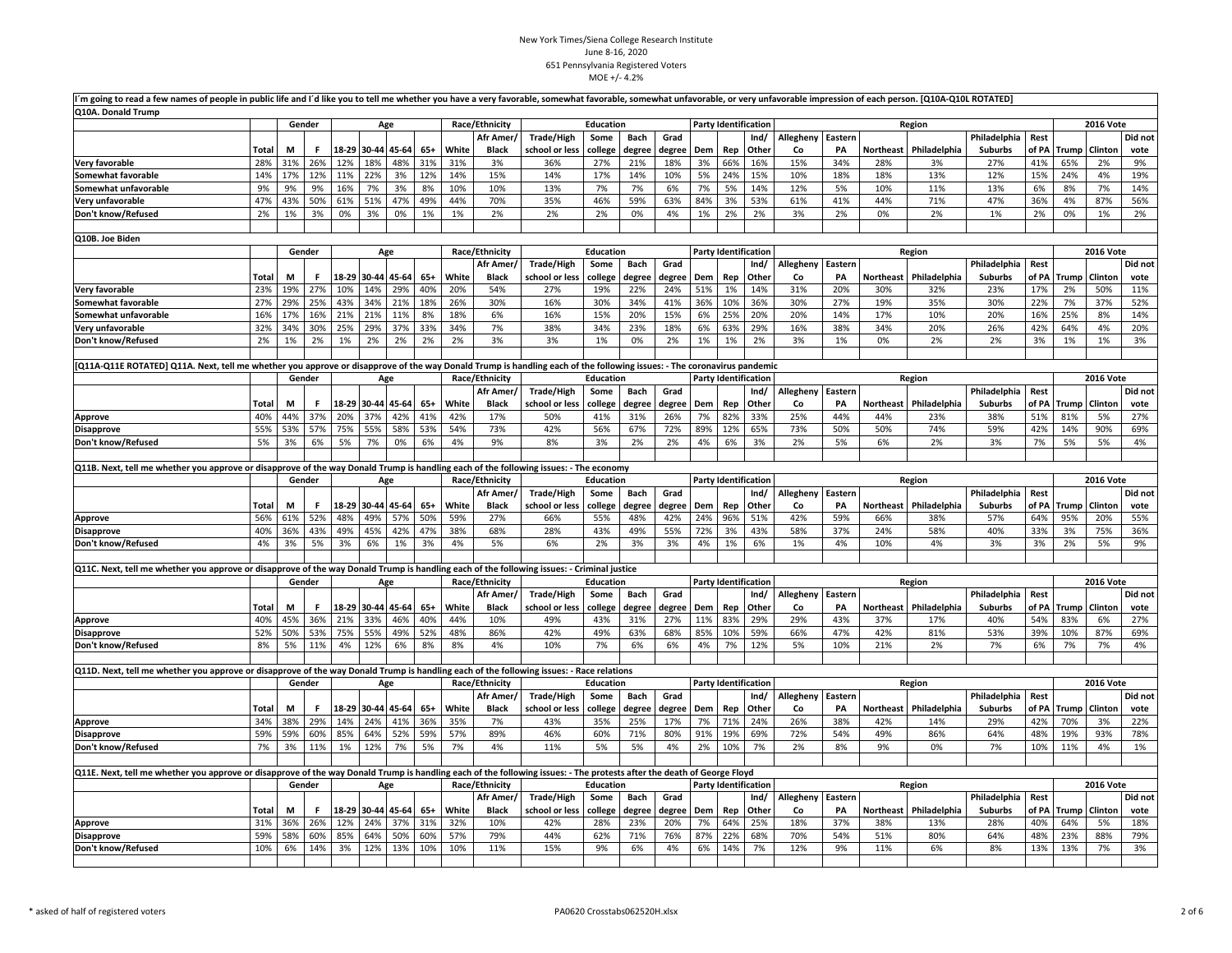|                                                                                                                                                                        | m going to read a few names of people in public life and I'd like you to tell me whether you have a very favorable, somewhat favorable, somewhat unfavorable, or very unfavorable impression of each person. [Q10A-Q10L ROTATE<br>Q10A. Donald Trump |     |        |       |     |                          |              |              |                |                       |                  |               |               |            |            |                             |           |               |           |                     |                       |               |              |                      |             |
|------------------------------------------------------------------------------------------------------------------------------------------------------------------------|------------------------------------------------------------------------------------------------------------------------------------------------------------------------------------------------------------------------------------------------------|-----|--------|-------|-----|--------------------------|--------------|--------------|----------------|-----------------------|------------------|---------------|---------------|------------|------------|-----------------------------|-----------|---------------|-----------|---------------------|-----------------------|---------------|--------------|----------------------|-------------|
|                                                                                                                                                                        |                                                                                                                                                                                                                                                      |     | Gender |       |     | Age                      |              |              | Race/Ethnicity |                       | <b>Education</b> |               |               |            |            | <b>Party Identification</b> |           |               |           | Region              |                       |               |              | <b>2016 Vote</b>     |             |
|                                                                                                                                                                        |                                                                                                                                                                                                                                                      |     |        |       |     |                          |              |              | Afr Amer/      | <b>Trade/High</b>     | Some             | Bach          | Grad          |            |            | Ind/                        | Allegheny | Eastern       |           |                     | Philadelphia          | Rest          |              |                      | Did not     |
|                                                                                                                                                                        | Total                                                                                                                                                                                                                                                | M   | F.     | 18-29 |     | 30-44 45-64              | $65+$        | White        | <b>Black</b>   | school or less        | college          | degree        | degree        | Dem        | Rep        | Other                       | Co        | PA            | Northeast | Philadelphia        | Suburbs               | of PA         | <b>Trump</b> | Clinton              | vote        |
| Very favorable                                                                                                                                                         | 28%                                                                                                                                                                                                                                                  | 31% | 26%    | 12%   | 18% | 48%                      | 31%          | 31%          | 3%             | 36%                   | 27%              | 21%           | 18%           | 3%         | 66%        | 16%                         | 15%       | 34%           | 28%       | 3%                  | 27%                   | 41%           | 65%          | 2%                   | 9%          |
| Somewhat favorable                                                                                                                                                     | 14%                                                                                                                                                                                                                                                  | 17% | 12%    | 11%   | 22% | 3%                       | 12%          | 14%          | 15%            | 14%                   | 17%              | 14%           | 10%           | 5%         | 24%        | 15%                         | 10%       | 18%           | 18%       | 13%                 | 12%                   | 15%           | 24%          | 4%                   | 19%         |
| Somewhat unfavorable                                                                                                                                                   | 9%                                                                                                                                                                                                                                                   | 9%  | 9%     | 16%   | 7%  | 3%                       | 8%           | 10%          | 10%            | 13%                   | 7%               | 7%            | 6%            | 7%         | 5%         | 14%                         | 12%       | 5%            | 10%       | 11%                 | 13%                   | 6%            | 8%           | 7%                   | 14%         |
| Very unfavorable                                                                                                                                                       | 47%                                                                                                                                                                                                                                                  | 43% | 50%    | 61%   | 51% | 47%                      | 49%          | 44%          | 70%            | 35%                   | 46%              | 59%           | 63%           | 84%        | 3%         | 53%                         | 61%       | 41%           | 44%       | 71%                 | 47%                   | 36%           | 4%           | 87%                  | 56%         |
| Don't know/Refused                                                                                                                                                     | 2%                                                                                                                                                                                                                                                   | 1%  | 3%     | 0%    | 3%  | 0%                       | 1%           | 1%           | 2%             | 2%                    | 2%               | 0%            | 4%            | 1%         | 2%         | 2%                          | 3%        | 2%            | 0%        | 2%                  | 1%                    | 2%            | 0%           | 1%                   | 2%          |
| Q10B. Joe Biden                                                                                                                                                        |                                                                                                                                                                                                                                                      |     |        |       |     |                          |              |              |                |                       |                  |               |               |            |            |                             |           |               |           |                     |                       |               |              |                      |             |
|                                                                                                                                                                        |                                                                                                                                                                                                                                                      |     | Gender |       |     | Age                      |              |              | Race/Ethnicity |                       | Education        |               |               |            |            | <b>Party Identification</b> |           |               |           | Region              |                       |               |              | <b>2016 Vote</b>     |             |
|                                                                                                                                                                        |                                                                                                                                                                                                                                                      |     |        |       |     |                          |              |              | Afr Amer/      | Trade/High            | Some             | Bach          | Grad          |            |            | Ind/                        | Allegheny | Eastern       |           |                     | Philadelphia          | Rest          |              |                      | Did not     |
|                                                                                                                                                                        | Total                                                                                                                                                                                                                                                | м   | F      | 18-29 |     | 30-44 45-64              | $65+$        | White        | <b>Black</b>   | school or less        | college          | degree        | degree        | Dem        | Rep        | Other                       | Co        | PA            | Northeast | Philadelphia        | <b>Suburbs</b>        | of PA         | Trump        | Clinton              | vote        |
| Very favorable                                                                                                                                                         | 23%                                                                                                                                                                                                                                                  | 19% | 27%    | 10%   | 14% | 29%                      | 40%          | 20%          | 54%            | 27%                   | 19%              | 22%           | 24%           | 51%        | 1%         | 14%                         | 31%       | 20%           | 30%       | 32%                 | 23%                   | 17%           | 2%           | 50%                  | 11%         |
| Somewhat favorable                                                                                                                                                     | 27%                                                                                                                                                                                                                                                  | 29% | 25%    | 43%   | 34% | 21%                      | 18%          | 26%          | 30%            | 16%                   | 30%              | 34%           | 41%           | 36%        | 10%        | 36%                         | 30%       | 27%           | 19%       | 35%                 | 30%                   | 22%           | 7%           | 37%                  | 52%         |
| Somewhat unfavorable                                                                                                                                                   | 16%                                                                                                                                                                                                                                                  | 17% | 16%    | 21%   | 21% | 11%                      | 8%           | 18%          | 6%             | 16%                   | 15%              | 20%           | 15%           | 6%         | 25%        | 20%                         | 20%       | 14%           | 17%       | 10%                 | 20%                   | 16%           | 25%          | 8%                   | 14%         |
| Very unfavorable                                                                                                                                                       | 32%                                                                                                                                                                                                                                                  | 34% | 30%    | 25%   | 29% | 37%                      | 33%          | 34%          | 7%             | 38%                   | 34%              | 23%           | 18%           | 6%         | 63%        | 29%                         | 16%       | 38%           | 34%       | 20%                 | 26%                   | 42%           | 64%          | 4%                   | 20%         |
| Don't know/Refused                                                                                                                                                     | 2%                                                                                                                                                                                                                                                   | 1%  | 2%     | 1%    | 2%  | 2%                       | 2%           | 2%           | 3%             | 3%                    | 1%               | 0%            | 2%            | 1%         | 1%         | 2%                          | 3%        | 1%            | 0%        | 2%                  | 2%                    | 3%            | 1%           | 1%                   | 3%          |
|                                                                                                                                                                        |                                                                                                                                                                                                                                                      |     |        |       |     |                          |              |              |                |                       |                  |               |               |            |            |                             |           |               |           |                     |                       |               |              |                      |             |
| Q11A-Q11E ROTATED] Q11A. Next, tell me whether you approve or disapprove of the way Donald Trump is handling each of the following issues: - The coronavirus pandemic  |                                                                                                                                                                                                                                                      |     |        |       |     |                          |              |              |                |                       |                  |               |               |            |            |                             |           |               |           |                     |                       |               |              |                      |             |
|                                                                                                                                                                        |                                                                                                                                                                                                                                                      |     | Gender |       |     | Age                      |              |              | Race/Ethnicity |                       | Education        |               |               |            |            | <b>Party Identification</b> |           |               |           | Region              |                       |               |              | <b>2016 Vote</b>     |             |
|                                                                                                                                                                        |                                                                                                                                                                                                                                                      |     |        |       |     |                          |              |              | Afr Amer/      | Trade/High            | Some             | Bach          | Grad          |            |            | Ind/                        | Allegheny | Eastern       |           |                     | Philadelphia          | Rest          |              |                      | Did not     |
|                                                                                                                                                                        | Total                                                                                                                                                                                                                                                | М   | F      |       |     | 18-29 30-44 45-64        | 65+          | White        | <b>Black</b>   | school or less        | college          | degree        | degree        | Dem        | Rep        | Other                       | Co        | PA            | Northeast | Philadelphia        | <b>Suburbs</b>        | of PA         |              | <b>Trump</b> Clinton | vote        |
| Approve                                                                                                                                                                | 40%                                                                                                                                                                                                                                                  | 44% | 37%    | 20%   | 37% | 42%                      | 41%          | 42%          | 17%            | 50%                   | 41%              | 31%           | 26%           | 7%         | 82%        | 33%                         | 25%       | 44%           | 44%       | 23%                 | 38%                   | 51%           | 81%          | 5%                   | 27%         |
| <b>Disapprove</b>                                                                                                                                                      | 55%                                                                                                                                                                                                                                                  | 53% | 57%    | 75%   | 55% | 58%                      | 53%          | 54%          | 73%            | 42%                   | 56%              | 67%           | 72%           | 89%        | 12%        | 65%                         | 73%       | 50%           | 50%       | 74%                 | 59%                   | 42%           | 14%          | 90%                  | 69%         |
| Don't know/Refused                                                                                                                                                     | 5%                                                                                                                                                                                                                                                   | 3%  | 6%     | 5%    | 7%  | 0%                       | 6%           | 4%           | 9%             | 8%                    | 3%               | 2%            | 2%            | 4%         | 6%         | 3%                          | 2%        | 5%            | 6%        | 2%                  | 3%                    | 7%            | 5%           | 5%                   | 4%          |
|                                                                                                                                                                        |                                                                                                                                                                                                                                                      |     |        |       |     |                          |              |              |                |                       |                  |               |               |            |            |                             |           |               |           |                     |                       |               |              |                      |             |
| Q11B. Next, tell me whether you approve or disapprove of the way Donald Trump is handling each of the following issues: - The economy                                  |                                                                                                                                                                                                                                                      |     |        |       |     |                          |              |              |                |                       |                  |               |               |            |            |                             |           |               |           |                     |                       |               |              |                      |             |
|                                                                                                                                                                        |                                                                                                                                                                                                                                                      |     | Gender |       |     | Age                      |              |              | Race/Ethnicity |                       | <b>Education</b> |               |               |            |            | <b>Party Identification</b> |           |               |           | Region              |                       |               |              | <b>2016 Vote</b>     |             |
|                                                                                                                                                                        |                                                                                                                                                                                                                                                      |     |        |       |     |                          |              |              | Afr Amer/      | <b>Trade/High</b>     | Some             | <b>Bach</b>   | Grad          |            |            | Ind/                        | Allegheny | Eastern       |           |                     | Philadelphia          | Rest          |              |                      | Did not     |
|                                                                                                                                                                        | Total                                                                                                                                                                                                                                                | M   | F      | 18-29 |     | 30-44 45-64              | $65+$        | White        | <b>Black</b>   | school or less        | college          | degree        | degree        | Dem        | Rep        | Other                       | Co        | PA            | Northeast | Philadelphia        | Suburbs               | of PA         | Trump        | Clinton              | vote        |
| Approve                                                                                                                                                                | 56%                                                                                                                                                                                                                                                  | 61% | 52%    | 48%   | 49% | 57%                      | 50%          | 59%          | 27%            | 66%                   | 55%              | 48%           | 42%           | 24%        | 96%        | 51%                         | 42%       | 59%           | 66%       | 38%                 | 57%                   | 64%           | 95%          | 20%                  | 55%         |
| Disapprove                                                                                                                                                             | 40%                                                                                                                                                                                                                                                  | 36% | 43%    | 49%   | 45% | 42%                      | 47%          | 38%          | 68%            | 28%                   | 43%              | 49%           | 55%           | 72%        | 3%         | 43%                         | 58%       | 37%           | 24%       | 58%                 | 40%                   | 33%           | 3%           | 75%                  | 36%         |
| Don't know/Refused                                                                                                                                                     | 4%                                                                                                                                                                                                                                                   | 3%  | 5%     | 3%    | 6%  | 1%                       | 3%           | 4%           | 5%             | 6%                    | 2%               | 3%            | 3%            | 4%         | 1%         | 6%                          | 1%        | 4%            | 10%       | 4%                  | 3%                    | 3%            | 2%           | 5%                   | 9%          |
|                                                                                                                                                                        |                                                                                                                                                                                                                                                      |     |        |       |     |                          |              |              |                |                       |                  |               |               |            |            |                             |           |               |           |                     |                       |               |              |                      |             |
| Q11C. Next, tell me whether you approve or disapprove of the way Donald Trump is handling each of the following issues: - Criminal justice                             |                                                                                                                                                                                                                                                      |     |        |       |     |                          |              |              |                |                       |                  |               |               |            |            |                             |           |               |           |                     |                       |               |              |                      |             |
|                                                                                                                                                                        |                                                                                                                                                                                                                                                      |     | Gender |       |     | Age                      |              |              | Race/Ethnicity |                       | <b>Education</b> |               |               |            |            | <b>Party Identification</b> |           |               |           | Region              |                       |               |              | <b>2016 Vote</b>     |             |
|                                                                                                                                                                        | Total                                                                                                                                                                                                                                                | М   | F      |       |     |                          |              |              | Afr Amer/      | Trade/High            | Some             | Bach          | Grad          |            |            | Ind/<br>Other               | Allegheny | Eastern<br>PA | Northeast |                     | Philadelphia          | Rest<br>of PA |              | <b>Trump</b> Clinton | Did not     |
|                                                                                                                                                                        | 40%                                                                                                                                                                                                                                                  | 45% | 36%    | 21%   | 33% | 18-29 30-44 45-64<br>46% | $65+$<br>40% | White<br>44% | <b>Black</b>   | school or less<br>49% | college<br>43%   | degree<br>31% | degree<br>27% | Dem<br>11% | Rep<br>83% | 29%                         | Co<br>29% | 43%           | 37%       | Philadelphia<br>17% | <b>Suburbs</b><br>40% | 54%           | 83%          | 6%                   | vote<br>27% |
| Approve                                                                                                                                                                | 52%                                                                                                                                                                                                                                                  | 50% | 53%    | 75%   | 55% | 49%                      | 52%          | 48%          | 10%<br>86%     | 42%                   | 49%              | 63%           | 68%           | 85%        | 10%        | 59%                         | 66%       | 47%           | 42%       | 81%                 | 53%                   | 39%           | 10%          | 87%                  | 69%         |
| <b>Disapprove</b><br>Don't know/Refused                                                                                                                                | 8%                                                                                                                                                                                                                                                   | 5%  | 11%    | 4%    | 12% | 6%                       | 8%           | 8%           | 4%             | 10%                   | 7%               | 6%            | 6%            | 4%         | 7%         | 12%                         | 5%        | 10%           | 21%       | 2%                  | 7%                    | 6%            | 7%           | 7%                   | 4%          |
|                                                                                                                                                                        |                                                                                                                                                                                                                                                      |     |        |       |     |                          |              |              |                |                       |                  |               |               |            |            |                             |           |               |           |                     |                       |               |              |                      |             |
| Q11D. Next, tell me whether you approve or disapprove of the way Donald Trump is handling each of the following issues: - Race relations                               |                                                                                                                                                                                                                                                      |     |        |       |     |                          |              |              |                |                       |                  |               |               |            |            |                             |           |               |           |                     |                       |               |              |                      |             |
|                                                                                                                                                                        |                                                                                                                                                                                                                                                      |     | Gender |       |     | Age                      |              |              | Race/Ethnicity |                       | Education        |               |               |            |            | <b>Party Identification</b> |           |               |           | Region              |                       |               |              | <b>2016 Vote</b>     |             |
|                                                                                                                                                                        |                                                                                                                                                                                                                                                      |     |        |       |     |                          |              |              | Afr Amer/      | <b>Trade/High</b>     | Some             | Bach          | Grad          |            |            | Ind/                        | Allegheny | Eastern       |           |                     | Philadelphia          | Rest          |              |                      | Did not     |
|                                                                                                                                                                        | Total                                                                                                                                                                                                                                                | м   | F.     |       |     | 18-29 30-44 45-64        | 65+          | White        | <b>Black</b>   | school or less        | college          | degree        | degree        | Dem        | Rep        | Other                       | Co        | PA            | Northeast | Philadelphia        | <b>Suburbs</b>        | of PA         |              | <b>Trump</b> Clinton | vote        |
| Approve                                                                                                                                                                | 34%                                                                                                                                                                                                                                                  | 38% | 29%    | 14%   | 24% | 41%                      | 36%          | 35%          | 7%             | 43%                   | 35%              | 25%           | 17%           | 7%         | 71%        | 24%                         | 26%       | 38%           | 42%       | 14%                 | 29%                   | 42%           | 70%          | 3%                   | 22%         |
| <b>Disapprove</b>                                                                                                                                                      | 59%                                                                                                                                                                                                                                                  | 59% | 60%    | 85%   | 64% | 52%                      | 59%          | 57%          | 89%            | 46%                   | 60%              | 71%           | 80%           | 91%        | 19%        | 69%                         | 72%       | 54%           | 49%       | 86%                 | 64%                   | 48%           | 19%          | 93%                  | 78%         |
| Don't know/Refused                                                                                                                                                     | 7%                                                                                                                                                                                                                                                   | 3%  | 11%    | 1%    | 12% | 7%                       | 5%           | 7%           | 4%             | 11%                   | 5%               | 5%            | 4%            | 2%         | 10%        | 7%                          | 2%        | 8%            | 9%        | 0%                  | 7%                    | 10%           | 11%          | 4%                   | 1%          |
|                                                                                                                                                                        |                                                                                                                                                                                                                                                      |     |        |       |     |                          |              |              |                |                       |                  |               |               |            |            |                             |           |               |           |                     |                       |               |              |                      |             |
| Q11E. Next, tell me whether you approve or disapprove of the way Donald Trump is handling each of the following issues: - The protests after the death of George Floyd |                                                                                                                                                                                                                                                      |     |        |       |     |                          |              |              |                |                       |                  |               |               |            |            |                             |           |               |           |                     |                       |               |              |                      |             |
|                                                                                                                                                                        |                                                                                                                                                                                                                                                      |     | Gender |       |     | Age                      |              |              | Race/Ethnicity |                       | <b>Education</b> |               |               |            |            | <b>Party Identification</b> |           |               |           | Region              |                       |               |              | <b>2016 Vote</b>     |             |
|                                                                                                                                                                        |                                                                                                                                                                                                                                                      |     |        |       |     |                          |              |              | Afr Amer/      | <b>Trade/High</b>     | Some             | Bach          | Grad          |            |            | Ind/                        | Allegheny | Eastern       |           |                     | Philadelphia          | Rest          |              |                      | Did not     |
|                                                                                                                                                                        | Total                                                                                                                                                                                                                                                | М   | F      |       |     | 18-29 30-44 45-64        | 65+          | White        | <b>Black</b>   | school or less        | college          | degree        | degree        | Dem        | Rep        | Other                       | Co        | PA            | Northeast | Philadelphia        | <b>Suburbs</b>        | of PA         |              | <b>Trump</b> Clinton | vote        |
| Approve                                                                                                                                                                | 31%                                                                                                                                                                                                                                                  | 36% | 26%    | 12%   | 24% | 37%                      | 31%          | 32%          | 10%            | 42%                   | 28%              | 23%           | 20%           | 7%         | 64%        | 25%                         | 18%       | 37%           | 38%       | 13%                 | 28%                   | 40%           | 64%          | 5%                   | 18%         |
| <b>Disapprove</b>                                                                                                                                                      | 59%                                                                                                                                                                                                                                                  | 58% | 60%    | 85%   | 64% | 50%                      | 60%          | 57%          | 79%            | 44%                   | 62%              | 71%           | 76%           | 87%        | 22%        | 68%                         | 70%       | 54%           | 51%       | 80%                 | 64%                   | 48%           | 23%          | 88%                  | 79%         |
| Don't know/Refused                                                                                                                                                     | 10%                                                                                                                                                                                                                                                  | 6%  | 14%    | 3%    | 12% | 13%                      | 10%          | 10%          | 11%            | 15%                   | 9%               | 6%            | 4%            | 6%         | 14%        | 7%                          | 12%       | 9%            | 11%       | 6%                  | 8%                    | 13%           | 13%          | 7%                   | 3%          |
|                                                                                                                                                                        |                                                                                                                                                                                                                                                      |     |        |       |     |                          |              |              |                |                       |                  |               |               |            |            |                             |           |               |           |                     |                       |               |              |                      |             |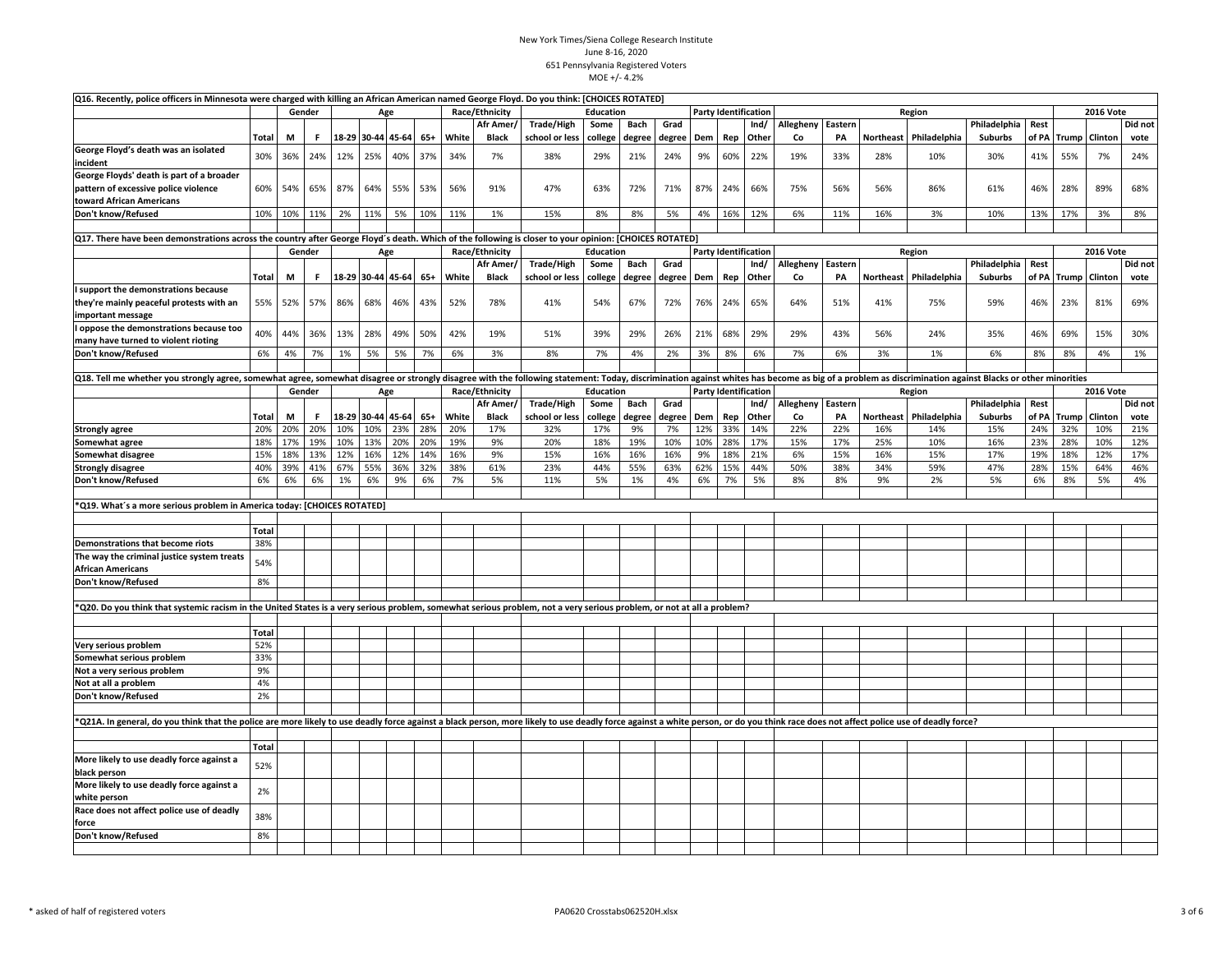| Q16. Recently, police officers in Minnesota were charged with killing an African American named George Floyd. Do you think: [CHOICES ROTATED]                                                                                  |              |     |        |     |     |                   |       |       |                |                |                  |                |        |     |         |                             |           |         |           |                        |                |       |     |                      |         |
|--------------------------------------------------------------------------------------------------------------------------------------------------------------------------------------------------------------------------------|--------------|-----|--------|-----|-----|-------------------|-------|-------|----------------|----------------|------------------|----------------|--------|-----|---------|-----------------------------|-----------|---------|-----------|------------------------|----------------|-------|-----|----------------------|---------|
|                                                                                                                                                                                                                                |              |     | Gender |     |     | Age               |       |       | Race/Ethnicity |                | Education        |                |        |     |         | <b>Party Identification</b> |           |         |           | <b>2016 Vote</b>       |                |       |     |                      |         |
|                                                                                                                                                                                                                                |              |     |        |     |     |                   |       |       | Afr Amer/      | Trade/High     | Some             | Bach           | Grad   |     |         | Ind/                        | Allegheny | Eastern |           |                        | Philadelphia   | Rest  |     |                      | Did not |
|                                                                                                                                                                                                                                | Total        | M   | F.     |     |     | 18-29 30-44 45-64 | $65+$ | White | <b>Black</b>   | school or less |                  | college degree | degree | Dem | Rep     | Other                       | Co        | PA      | Northeast | Philadelphia           | <b>Suburbs</b> |       |     | of PA Trump Clinton  | vote    |
| George Floyd's death was an isolated                                                                                                                                                                                           | 30%          | 36% | 24%    | 12% | 25% | 40%               | 37%   | 34%   | 7%             | 38%            | 29%              | 21%            | 24%    | 9%  | 60%     | 22%                         | 19%       | 33%     | 28%       | 10%                    | 30%            | 41%   | 55% | 7%                   | 24%     |
| incident                                                                                                                                                                                                                       |              |     |        |     |     |                   |       |       |                |                |                  |                |        |     |         |                             |           |         |           |                        |                |       |     |                      |         |
| George Floyds' death is part of a broader                                                                                                                                                                                      |              |     |        |     |     |                   |       |       |                |                |                  |                |        |     |         |                             |           |         |           |                        |                |       |     |                      |         |
| pattern of excessive police violence                                                                                                                                                                                           | 60%          | 54% | 65%    | 87% | 64% | 55%               | 53%   | 56%   | 91%            | 47%            | 63%              | 72%            | 71%    | 87% | 24%     | 66%                         | 75%       | 56%     | 56%       | 86%                    | 61%            | 46%   | 28% | 89%                  | 68%     |
| toward African Americans                                                                                                                                                                                                       |              |     |        |     |     |                   |       |       |                |                |                  |                |        |     |         |                             |           |         |           |                        |                |       |     |                      |         |
| Don't know/Refused                                                                                                                                                                                                             | 10%          | 10% | 11%    | 2%  | 11% | 5%                | 10%   | 11%   | 1%             | 15%            | 8%               | 8%             | 5%     | 4%  | 16%     | 12%                         | 6%        | 11%     | 16%       | 3%                     | 10%            | 13%   | 17% | 3%                   | 8%      |
|                                                                                                                                                                                                                                |              |     |        |     |     |                   |       |       |                |                |                  |                |        |     |         |                             |           |         |           |                        |                |       |     |                      |         |
| Q17. There have been demonstrations across the country after George Floyd's death. Which of the following is closer to your opinion: [CHOICES ROTATED]                                                                         |              |     |        |     |     |                   |       |       |                |                |                  |                |        |     |         |                             |           |         |           |                        |                |       |     |                      |         |
|                                                                                                                                                                                                                                |              |     | Gender |     |     | Age               |       |       | Race/Ethnicity |                | <b>Education</b> |                |        |     |         | <b>Party Identification</b> |           |         |           | Region                 |                |       |     | <b>2016 Vote</b>     |         |
|                                                                                                                                                                                                                                |              |     |        |     |     |                   |       |       | Afr Amer,      | Trade/High     | Some             | Bach           | Grad   |     |         | Ind/                        | Allegheny | Eastern |           |                        | Philadelphia   | Rest  |     |                      | Did not |
|                                                                                                                                                                                                                                | Total        | М   | F      |     |     | 18-29 30-44 45-64 | 65+   | White | <b>Black</b>   | school or less | college          | degree         | degree |     | Dem Rep | Other                       | Co        | PA      |           | Northeast Philadelphia | <b>Suburbs</b> |       |     | of PA Trump Clinton  | vote    |
| support the demonstrations because                                                                                                                                                                                             |              |     |        |     |     |                   |       |       |                |                |                  |                |        |     |         |                             |           |         |           |                        |                |       |     |                      |         |
| they're mainly peaceful protests with an                                                                                                                                                                                       | 55%          | 52% | 57%    | 86% | 68% | 46%               | 43%   | 52%   | 78%            | 41%            | 54%              | 67%            | 72%    | 76% | 24%     | 65%                         | 64%       | 51%     | 41%       | 75%                    | 59%            | 46%   | 23% | 81%                  | 69%     |
| mportant message                                                                                                                                                                                                               |              |     |        |     |     |                   |       |       |                |                |                  |                |        |     |         |                             |           |         |           |                        |                |       |     |                      |         |
| oppose the demonstrations because too                                                                                                                                                                                          |              |     |        |     |     |                   |       |       |                |                |                  |                |        |     |         |                             |           |         |           |                        |                |       |     |                      |         |
| many have turned to violent rioting                                                                                                                                                                                            | 40%          | 44% | 36%    | 13% | 28% | 49%               | 50%   | 42%   | 19%            | 51%            | 39%              | 29%            | 26%    | 21% | 68%     | 29%                         | 29%       | 43%     | 56%       | 24%                    | 35%            | 46%   | 69% | 15%                  | 30%     |
| Don't know/Refused                                                                                                                                                                                                             | 6%           | 4%  | 7%     | 1%  | 5%  | 5%                | 7%    | 6%    | 3%             | 8%             | 7%               | 4%             | 2%     | 3%  | 8%      | 6%                          | 7%        | 6%      | 3%        | 1%                     | 6%             | 8%    | 8%  | 4%                   | 1%      |
|                                                                                                                                                                                                                                |              |     |        |     |     |                   |       |       |                |                |                  |                |        |     |         |                             |           |         |           |                        |                |       |     |                      |         |
| Q18. Tell me whether you strongly agree, somewhat agree, somewhat disagree or strongly disagree with the following statement: Today, discrimination against whites has become as big of a problem as discrimination against Bl |              |     |        |     |     |                   |       |       |                |                |                  |                |        |     |         |                             |           |         |           |                        |                |       |     |                      |         |
|                                                                                                                                                                                                                                |              |     | Gender |     |     | Age               |       |       | Race/Ethnicity |                | Education        |                |        |     |         | <b>Party Identification</b> |           |         |           | Region                 |                |       |     | <b>2016 Vote</b>     |         |
|                                                                                                                                                                                                                                |              |     |        |     |     |                   |       |       | Afr Amer/      | Trade/High     | Some             | <b>Bach</b>    | Grad   |     |         | Ind/                        | Allegheny | Eastern |           |                        | Philadelphia   | Rest  |     |                      | Did not |
|                                                                                                                                                                                                                                |              | М   | .F     |     |     | 18-29 30-44 45-64 | $65+$ | White | <b>Black</b>   | school or less |                  | degree         | degree | Dem | Rep     | Other                       | Co        | PA      |           | Northeast Philadelphia | <b>Suburbs</b> | of PA |     | <b>Trump</b> Clinton | vote    |
|                                                                                                                                                                                                                                | Total<br>20% | 20% | 20%    | 10% | 10% | 23%               | 28%   | 20%   | 17%            | 32%            | college<br>17%   | 9%             | 7%     | 12% |         | 14%                         | 22%       | 22%     | 16%       | 14%                    | 15%            | 24%   | 32% | 10%                  | 21%     |
| <b>Strongly agree</b>                                                                                                                                                                                                          |              |     |        |     |     |                   |       |       |                |                |                  |                |        |     | 33%     |                             |           |         |           |                        |                |       |     |                      |         |
| Somewhat agree                                                                                                                                                                                                                 | 18%          | 17% | 19%    | 10% | 13% | 20%               | 20%   | 19%   | 9%             | 20%            | 18%              | 19%            | 10%    | 10% | 28%     | 17%                         | 15%       | 17%     | 25%       | 10%                    | 16%            | 23%   | 28% | 10%                  | 12%     |
| Somewhat disagree                                                                                                                                                                                                              | 15%          | 18% | 13%    | 12% | 16% | 12%               | 14%   | 16%   | 9%             | 15%            | 16%              | 16%            | 16%    | 9%  | 18%     | 21%                         | 6%        | 15%     | 16%       | 15%                    | 17%            | 19%   | 18% | 12%                  | 17%     |
| <b>Strongly disagree</b>                                                                                                                                                                                                       | 40%          | 39% | 41%    | 67% | 55% | 36%               | 32%   | 38%   | 61%            | 23%            | 44%              | 55%            | 63%    | 62% | 15%     | 44%                         | 50%       | 38%     | 34%       | 59%                    | 47%            | 28%   | 15% | 64%                  | 46%     |
| Don't know/Refused                                                                                                                                                                                                             | 6%           | 6%  | 6%     | 1%  | 6%  | 9%                | 6%    | 7%    | 5%             | 11%            | 5%               | 1%             | 4%     | 6%  | 7%      | 5%                          | 8%        | 8%      | 9%        | 2%                     | 5%             | 6%    | 8%  | 5%                   | 4%      |
|                                                                                                                                                                                                                                |              |     |        |     |     |                   |       |       |                |                |                  |                |        |     |         |                             |           |         |           |                        |                |       |     |                      |         |
| *Q19. What's a more serious problem in America today: [CHOICES ROTATED]                                                                                                                                                        |              |     |        |     |     |                   |       |       |                |                |                  |                |        |     |         |                             |           |         |           |                        |                |       |     |                      |         |
|                                                                                                                                                                                                                                |              |     |        |     |     |                   |       |       |                |                |                  |                |        |     |         |                             |           |         |           |                        |                |       |     |                      |         |
|                                                                                                                                                                                                                                | <b>Total</b> |     |        |     |     |                   |       |       |                |                |                  |                |        |     |         |                             |           |         |           |                        |                |       |     |                      |         |
| Demonstrations that become riots                                                                                                                                                                                               | 38%          |     |        |     |     |                   |       |       |                |                |                  |                |        |     |         |                             |           |         |           |                        |                |       |     |                      |         |
| The way the criminal justice system treats                                                                                                                                                                                     | 54%          |     |        |     |     |                   |       |       |                |                |                  |                |        |     |         |                             |           |         |           |                        |                |       |     |                      |         |
| <b>African Americans</b>                                                                                                                                                                                                       |              |     |        |     |     |                   |       |       |                |                |                  |                |        |     |         |                             |           |         |           |                        |                |       |     |                      |         |
| Don't know/Refused                                                                                                                                                                                                             | 8%           |     |        |     |     |                   |       |       |                |                |                  |                |        |     |         |                             |           |         |           |                        |                |       |     |                      |         |
|                                                                                                                                                                                                                                |              |     |        |     |     |                   |       |       |                |                |                  |                |        |     |         |                             |           |         |           |                        |                |       |     |                      |         |
| *Q20. Do you think that systemic racism in the United States is a very serious problem, somewhat serious problem, not a very serious problem, or not at all a problem?                                                         |              |     |        |     |     |                   |       |       |                |                |                  |                |        |     |         |                             |           |         |           |                        |                |       |     |                      |         |
|                                                                                                                                                                                                                                |              |     |        |     |     |                   |       |       |                |                |                  |                |        |     |         |                             |           |         |           |                        |                |       |     |                      |         |
|                                                                                                                                                                                                                                | Total        |     |        |     |     |                   |       |       |                |                |                  |                |        |     |         |                             |           |         |           |                        |                |       |     |                      |         |
| Very serious problem                                                                                                                                                                                                           | 52%          |     |        |     |     |                   |       |       |                |                |                  |                |        |     |         |                             |           |         |           |                        |                |       |     |                      |         |
| Somewhat serious problem                                                                                                                                                                                                       | 33%          |     |        |     |     |                   |       |       |                |                |                  |                |        |     |         |                             |           |         |           |                        |                |       |     |                      |         |
| Not a very serious problem                                                                                                                                                                                                     | 9%           |     |        |     |     |                   |       |       |                |                |                  |                |        |     |         |                             |           |         |           |                        |                |       |     |                      |         |
| Not at all a problem                                                                                                                                                                                                           | 4%           |     |        |     |     |                   |       |       |                |                |                  |                |        |     |         |                             |           |         |           |                        |                |       |     |                      |         |
| Don't know/Refused                                                                                                                                                                                                             | 2%           |     |        |     |     |                   |       |       |                |                |                  |                |        |     |         |                             |           |         |           |                        |                |       |     |                      |         |
|                                                                                                                                                                                                                                |              |     |        |     |     |                   |       |       |                |                |                  |                |        |     |         |                             |           |         |           |                        |                |       |     |                      |         |
| *Q21A. In general, do you think that the police are more likely to use deadly force against a black person, more likely to use deadly force against a white person, or do you think race does not affect police use of deadly  |              |     |        |     |     |                   |       |       |                |                |                  |                |        |     |         |                             |           |         |           |                        |                |       |     |                      |         |
|                                                                                                                                                                                                                                |              |     |        |     |     |                   |       |       |                |                |                  |                |        |     |         |                             |           |         |           |                        |                |       |     |                      |         |
|                                                                                                                                                                                                                                | Total        |     |        |     |     |                   |       |       |                |                |                  |                |        |     |         |                             |           |         |           |                        |                |       |     |                      |         |
| More likely to use deadly force against a                                                                                                                                                                                      |              |     |        |     |     |                   |       |       |                |                |                  |                |        |     |         |                             |           |         |           |                        |                |       |     |                      |         |
| black person                                                                                                                                                                                                                   | 52%          |     |        |     |     |                   |       |       |                |                |                  |                |        |     |         |                             |           |         |           |                        |                |       |     |                      |         |
| More likely to use deadly force against a                                                                                                                                                                                      |              |     |        |     |     |                   |       |       |                |                |                  |                |        |     |         |                             |           |         |           |                        |                |       |     |                      |         |
| white person                                                                                                                                                                                                                   | 2%           |     |        |     |     |                   |       |       |                |                |                  |                |        |     |         |                             |           |         |           |                        |                |       |     |                      |         |
| Race does not affect police use of deadly                                                                                                                                                                                      |              |     |        |     |     |                   |       |       |                |                |                  |                |        |     |         |                             |           |         |           |                        |                |       |     |                      |         |
| force                                                                                                                                                                                                                          | 38%          |     |        |     |     |                   |       |       |                |                |                  |                |        |     |         |                             |           |         |           |                        |                |       |     |                      |         |
| Don't know/Refused                                                                                                                                                                                                             | 8%           |     |        |     |     |                   |       |       |                |                |                  |                |        |     |         |                             |           |         |           |                        |                |       |     |                      |         |
|                                                                                                                                                                                                                                |              |     |        |     |     |                   |       |       |                |                |                  |                |        |     |         |                             |           |         |           |                        |                |       |     |                      |         |
|                                                                                                                                                                                                                                |              |     |        |     |     |                   |       |       |                |                |                  |                |        |     |         |                             |           |         |           |                        |                |       |     |                      |         |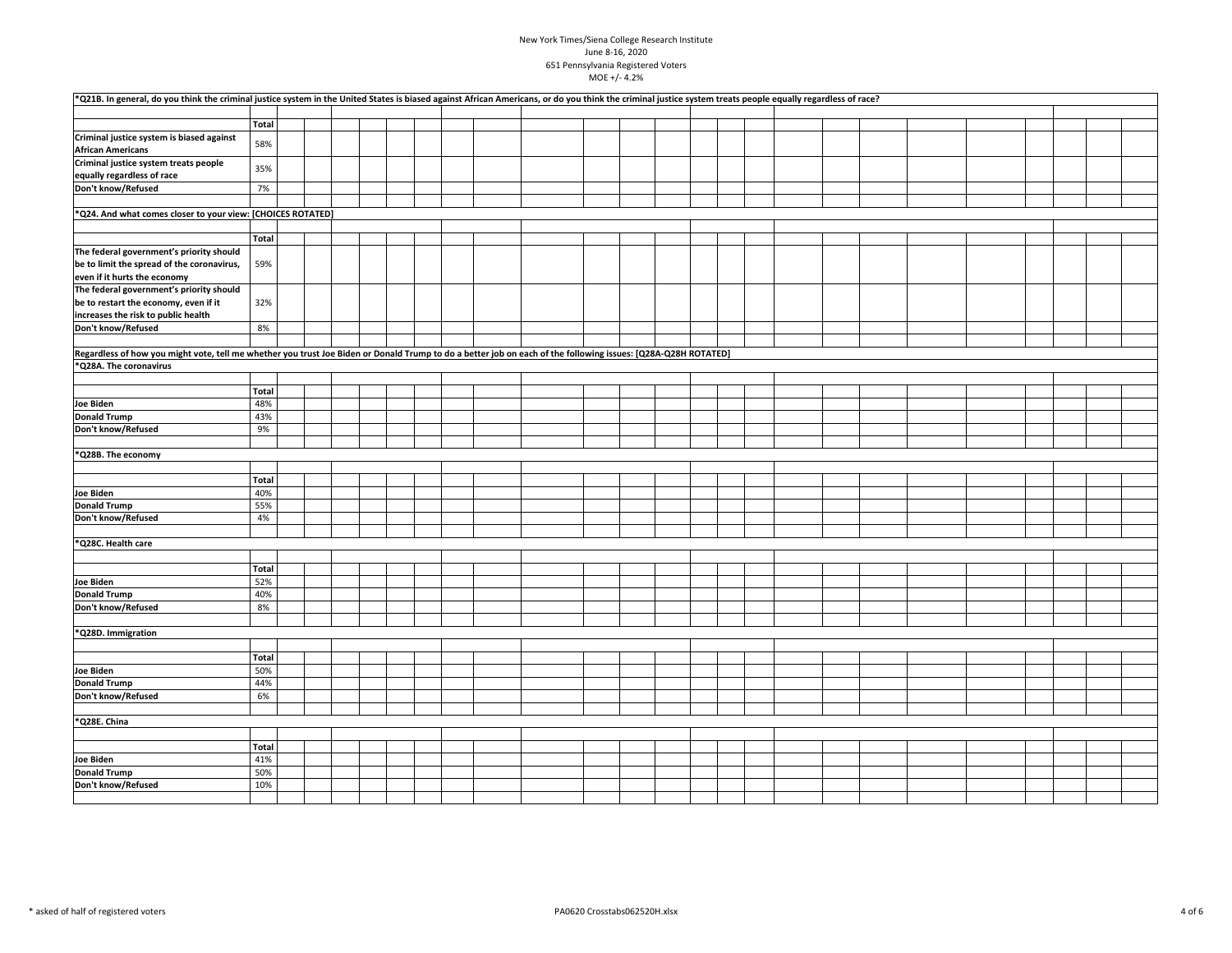| *Q21B. In general, do you think the criminal justice system in the United States is biased against African Americans, or do you think the criminal justice system treats people equally regardless of race? |              |  |  |  |  |  |  |  |  |  |  |  |  |
|-------------------------------------------------------------------------------------------------------------------------------------------------------------------------------------------------------------|--------------|--|--|--|--|--|--|--|--|--|--|--|--|
|                                                                                                                                                                                                             |              |  |  |  |  |  |  |  |  |  |  |  |  |
|                                                                                                                                                                                                             | <b>Total</b> |  |  |  |  |  |  |  |  |  |  |  |  |
| Criminal justice system is biased against<br><b>African Americans</b>                                                                                                                                       | 58%          |  |  |  |  |  |  |  |  |  |  |  |  |
| Criminal justice system treats people                                                                                                                                                                       |              |  |  |  |  |  |  |  |  |  |  |  |  |
| equally regardless of race                                                                                                                                                                                  | 35%          |  |  |  |  |  |  |  |  |  |  |  |  |
| Don't know/Refused                                                                                                                                                                                          | 7%           |  |  |  |  |  |  |  |  |  |  |  |  |
|                                                                                                                                                                                                             |              |  |  |  |  |  |  |  |  |  |  |  |  |
| *Q24. And what comes closer to your view: [CHOICES ROTATED]                                                                                                                                                 |              |  |  |  |  |  |  |  |  |  |  |  |  |
|                                                                                                                                                                                                             |              |  |  |  |  |  |  |  |  |  |  |  |  |
|                                                                                                                                                                                                             | Total        |  |  |  |  |  |  |  |  |  |  |  |  |
| The federal government's priority should                                                                                                                                                                    |              |  |  |  |  |  |  |  |  |  |  |  |  |
| be to limit the spread of the coronavirus,                                                                                                                                                                  | 59%          |  |  |  |  |  |  |  |  |  |  |  |  |
| even if it hurts the economy                                                                                                                                                                                |              |  |  |  |  |  |  |  |  |  |  |  |  |
| The federal government's priority should                                                                                                                                                                    |              |  |  |  |  |  |  |  |  |  |  |  |  |
| be to restart the economy, even if it                                                                                                                                                                       | 32%          |  |  |  |  |  |  |  |  |  |  |  |  |
| increases the risk to public health                                                                                                                                                                         |              |  |  |  |  |  |  |  |  |  |  |  |  |
| Don't know/Refused                                                                                                                                                                                          | 8%           |  |  |  |  |  |  |  |  |  |  |  |  |
|                                                                                                                                                                                                             |              |  |  |  |  |  |  |  |  |  |  |  |  |
| Regardless of how you might vote, tell me whether you trust Joe Biden or Donald Trump to do a better job on each of the following issues: [Q28A-Q28H ROTATED]                                               |              |  |  |  |  |  |  |  |  |  |  |  |  |
| *Q28A. The coronavirus                                                                                                                                                                                      |              |  |  |  |  |  |  |  |  |  |  |  |  |
|                                                                                                                                                                                                             |              |  |  |  |  |  |  |  |  |  |  |  |  |
|                                                                                                                                                                                                             | <b>Total</b> |  |  |  |  |  |  |  |  |  |  |  |  |
| Joe Biden                                                                                                                                                                                                   | 48%          |  |  |  |  |  |  |  |  |  |  |  |  |
| <b>Donald Trump</b>                                                                                                                                                                                         | 43%          |  |  |  |  |  |  |  |  |  |  |  |  |
| Don't know/Refused                                                                                                                                                                                          | 9%           |  |  |  |  |  |  |  |  |  |  |  |  |
|                                                                                                                                                                                                             |              |  |  |  |  |  |  |  |  |  |  |  |  |
| *Q28B. The economy                                                                                                                                                                                          |              |  |  |  |  |  |  |  |  |  |  |  |  |
|                                                                                                                                                                                                             |              |  |  |  |  |  |  |  |  |  |  |  |  |
|                                                                                                                                                                                                             | <b>Total</b> |  |  |  |  |  |  |  |  |  |  |  |  |
| Joe Biden                                                                                                                                                                                                   | 40%          |  |  |  |  |  |  |  |  |  |  |  |  |
| <b>Donald Trump</b>                                                                                                                                                                                         | 55%          |  |  |  |  |  |  |  |  |  |  |  |  |
| Don't know/Refused                                                                                                                                                                                          | 4%           |  |  |  |  |  |  |  |  |  |  |  |  |
|                                                                                                                                                                                                             |              |  |  |  |  |  |  |  |  |  |  |  |  |
| *Q28C. Health care                                                                                                                                                                                          |              |  |  |  |  |  |  |  |  |  |  |  |  |
|                                                                                                                                                                                                             |              |  |  |  |  |  |  |  |  |  |  |  |  |
|                                                                                                                                                                                                             | <b>Total</b> |  |  |  |  |  |  |  |  |  |  |  |  |
| Joe Biden                                                                                                                                                                                                   | 52%          |  |  |  |  |  |  |  |  |  |  |  |  |
| <b>Donald Trump</b>                                                                                                                                                                                         | 40%          |  |  |  |  |  |  |  |  |  |  |  |  |
| Don't know/Refused                                                                                                                                                                                          | 8%           |  |  |  |  |  |  |  |  |  |  |  |  |
|                                                                                                                                                                                                             |              |  |  |  |  |  |  |  |  |  |  |  |  |
| *Q28D. Immigration                                                                                                                                                                                          |              |  |  |  |  |  |  |  |  |  |  |  |  |
|                                                                                                                                                                                                             |              |  |  |  |  |  |  |  |  |  |  |  |  |
|                                                                                                                                                                                                             | <b>Total</b> |  |  |  |  |  |  |  |  |  |  |  |  |
| Joe Biden                                                                                                                                                                                                   | 50%          |  |  |  |  |  |  |  |  |  |  |  |  |
| <b>Donald Trump</b>                                                                                                                                                                                         | 44%          |  |  |  |  |  |  |  |  |  |  |  |  |
| Don't know/Refused                                                                                                                                                                                          | 6%           |  |  |  |  |  |  |  |  |  |  |  |  |
|                                                                                                                                                                                                             |              |  |  |  |  |  |  |  |  |  |  |  |  |
| *Q28E. China                                                                                                                                                                                                |              |  |  |  |  |  |  |  |  |  |  |  |  |
|                                                                                                                                                                                                             |              |  |  |  |  |  |  |  |  |  |  |  |  |
|                                                                                                                                                                                                             | <b>Total</b> |  |  |  |  |  |  |  |  |  |  |  |  |
| Joe Biden<br><b>Donald Trump</b>                                                                                                                                                                            | 41%<br>50%   |  |  |  |  |  |  |  |  |  |  |  |  |
| Don't know/Refused                                                                                                                                                                                          | 10%          |  |  |  |  |  |  |  |  |  |  |  |  |
|                                                                                                                                                                                                             |              |  |  |  |  |  |  |  |  |  |  |  |  |
|                                                                                                                                                                                                             |              |  |  |  |  |  |  |  |  |  |  |  |  |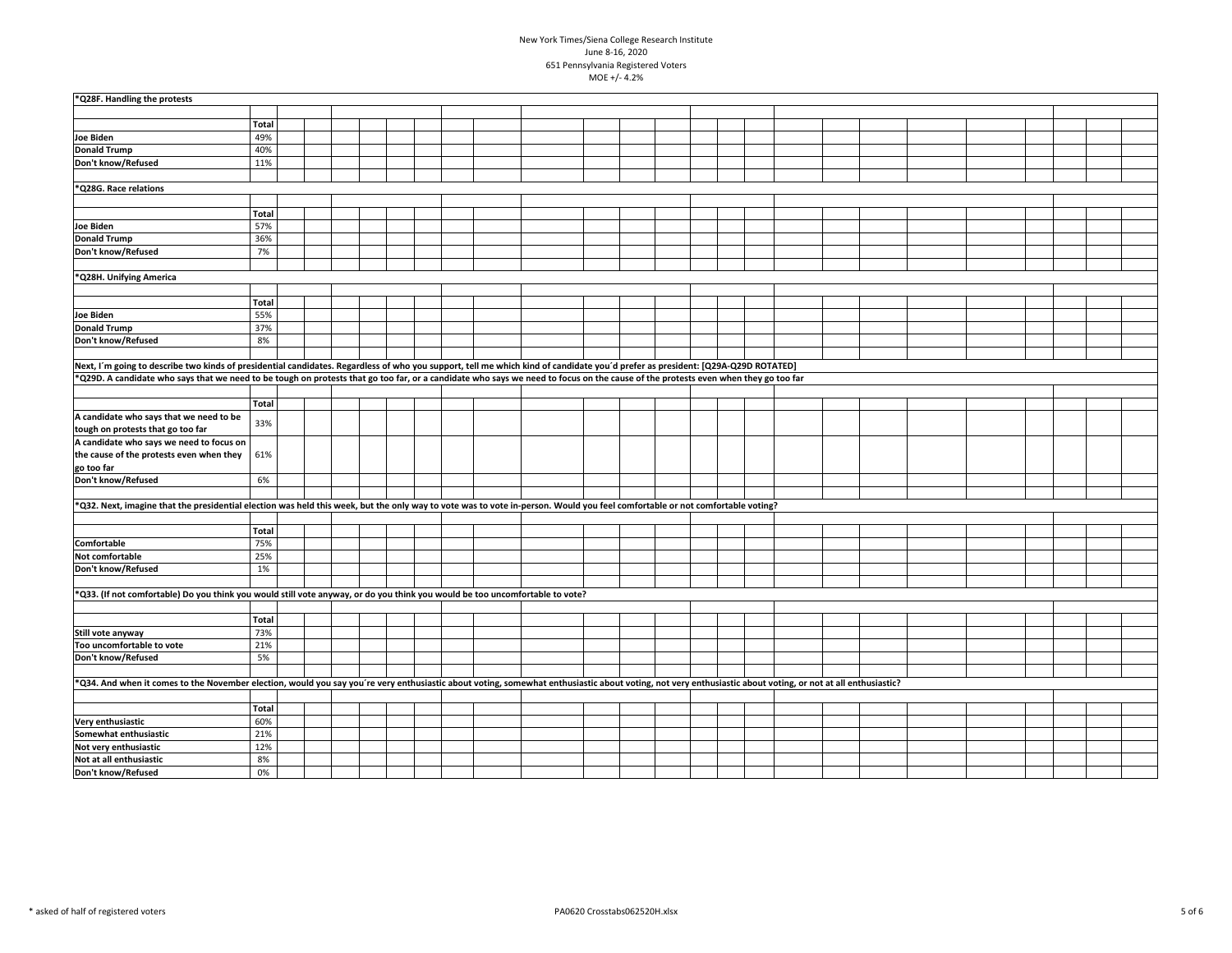| *Q28F. Handling the protests                                                                                                                                                                               |              |  |  |  |  |  |  |  |  |  |  |  |  |
|------------------------------------------------------------------------------------------------------------------------------------------------------------------------------------------------------------|--------------|--|--|--|--|--|--|--|--|--|--|--|--|
|                                                                                                                                                                                                            |              |  |  |  |  |  |  |  |  |  |  |  |  |
|                                                                                                                                                                                                            | Total        |  |  |  |  |  |  |  |  |  |  |  |  |
| Joe Biden                                                                                                                                                                                                  | 49%          |  |  |  |  |  |  |  |  |  |  |  |  |
| <b>Donald Trump</b>                                                                                                                                                                                        | 40%          |  |  |  |  |  |  |  |  |  |  |  |  |
| Don't know/Refused                                                                                                                                                                                         | 11%          |  |  |  |  |  |  |  |  |  |  |  |  |
|                                                                                                                                                                                                            |              |  |  |  |  |  |  |  |  |  |  |  |  |
| *Q28G. Race relations                                                                                                                                                                                      |              |  |  |  |  |  |  |  |  |  |  |  |  |
|                                                                                                                                                                                                            |              |  |  |  |  |  |  |  |  |  |  |  |  |
|                                                                                                                                                                                                            | Total        |  |  |  |  |  |  |  |  |  |  |  |  |
| <b>Joe Biden</b>                                                                                                                                                                                           | 57%          |  |  |  |  |  |  |  |  |  |  |  |  |
| <b>Donald Trump</b>                                                                                                                                                                                        | 36%          |  |  |  |  |  |  |  |  |  |  |  |  |
| Don't know/Refused                                                                                                                                                                                         | 7%           |  |  |  |  |  |  |  |  |  |  |  |  |
|                                                                                                                                                                                                            |              |  |  |  |  |  |  |  |  |  |  |  |  |
| *Q28H. Unifying America                                                                                                                                                                                    |              |  |  |  |  |  |  |  |  |  |  |  |  |
|                                                                                                                                                                                                            |              |  |  |  |  |  |  |  |  |  |  |  |  |
|                                                                                                                                                                                                            | <b>Total</b> |  |  |  |  |  |  |  |  |  |  |  |  |
| Joe Biden                                                                                                                                                                                                  | 55%          |  |  |  |  |  |  |  |  |  |  |  |  |
| <b>Donald Trump</b>                                                                                                                                                                                        | 37%          |  |  |  |  |  |  |  |  |  |  |  |  |
| Don't know/Refused                                                                                                                                                                                         | 8%           |  |  |  |  |  |  |  |  |  |  |  |  |
|                                                                                                                                                                                                            |              |  |  |  |  |  |  |  |  |  |  |  |  |
| Next, I'm going to describe two kinds of presidential candidates. Regardless of who you support, tell me which kind of candidate you'd prefer as president: [Q29A-Q29D ROTATED]                            |              |  |  |  |  |  |  |  |  |  |  |  |  |
| *Q29D. A candidate who says that we need to be tough on protests that go too far, or a candidate who says we need to focus on the cause of the protests even when they go too far                          |              |  |  |  |  |  |  |  |  |  |  |  |  |
|                                                                                                                                                                                                            |              |  |  |  |  |  |  |  |  |  |  |  |  |
|                                                                                                                                                                                                            | Total        |  |  |  |  |  |  |  |  |  |  |  |  |
| A candidate who says that we need to be                                                                                                                                                                    | 33%          |  |  |  |  |  |  |  |  |  |  |  |  |
| tough on protests that go too far                                                                                                                                                                          |              |  |  |  |  |  |  |  |  |  |  |  |  |
| A candidate who says we need to focus on                                                                                                                                                                   |              |  |  |  |  |  |  |  |  |  |  |  |  |
| the cause of the protests even when they                                                                                                                                                                   | 61%          |  |  |  |  |  |  |  |  |  |  |  |  |
| go too far                                                                                                                                                                                                 |              |  |  |  |  |  |  |  |  |  |  |  |  |
| Don't know/Refused                                                                                                                                                                                         | 6%           |  |  |  |  |  |  |  |  |  |  |  |  |
|                                                                                                                                                                                                            |              |  |  |  |  |  |  |  |  |  |  |  |  |
| *Q32. Next, imagine that the presidential election was held this week, but the only way to vote was to vote in-person. Would you feel comfortable or not comfortable voting?                               |              |  |  |  |  |  |  |  |  |  |  |  |  |
|                                                                                                                                                                                                            |              |  |  |  |  |  |  |  |  |  |  |  |  |
|                                                                                                                                                                                                            | Total        |  |  |  |  |  |  |  |  |  |  |  |  |
| Comfortable                                                                                                                                                                                                | 75%          |  |  |  |  |  |  |  |  |  |  |  |  |
| Not comfortable                                                                                                                                                                                            | 25%          |  |  |  |  |  |  |  |  |  |  |  |  |
| Don't know/Refused                                                                                                                                                                                         | 1%           |  |  |  |  |  |  |  |  |  |  |  |  |
|                                                                                                                                                                                                            |              |  |  |  |  |  |  |  |  |  |  |  |  |
| *Q33. (If not comfortable) Do you think you would still vote anyway, or do you think you would be too uncomfortable to vote?                                                                               |              |  |  |  |  |  |  |  |  |  |  |  |  |
|                                                                                                                                                                                                            |              |  |  |  |  |  |  |  |  |  |  |  |  |
|                                                                                                                                                                                                            | Total        |  |  |  |  |  |  |  |  |  |  |  |  |
| Still vote anyway                                                                                                                                                                                          | 73%          |  |  |  |  |  |  |  |  |  |  |  |  |
| Too uncomfortable to vote                                                                                                                                                                                  | 21%          |  |  |  |  |  |  |  |  |  |  |  |  |
| Don't know/Refused                                                                                                                                                                                         | 5%           |  |  |  |  |  |  |  |  |  |  |  |  |
|                                                                                                                                                                                                            |              |  |  |  |  |  |  |  |  |  |  |  |  |
| *Q34. And when it comes to the November election, would you say you're very enthusiastic about voting, somewhat enthusiastic about voting, not very enthusiastic about voting, or not at all enthusiastic? |              |  |  |  |  |  |  |  |  |  |  |  |  |
|                                                                                                                                                                                                            |              |  |  |  |  |  |  |  |  |  |  |  |  |
|                                                                                                                                                                                                            | <b>Total</b> |  |  |  |  |  |  |  |  |  |  |  |  |
| Very enthusiastic                                                                                                                                                                                          | 60%          |  |  |  |  |  |  |  |  |  |  |  |  |
| Somewhat enthusiastic                                                                                                                                                                                      | 21%          |  |  |  |  |  |  |  |  |  |  |  |  |
| Not very enthusiastic                                                                                                                                                                                      | 12%          |  |  |  |  |  |  |  |  |  |  |  |  |
| Not at all enthusiastic                                                                                                                                                                                    | 8%           |  |  |  |  |  |  |  |  |  |  |  |  |
| Don't know/Refused                                                                                                                                                                                         | 0%           |  |  |  |  |  |  |  |  |  |  |  |  |
|                                                                                                                                                                                                            |              |  |  |  |  |  |  |  |  |  |  |  |  |